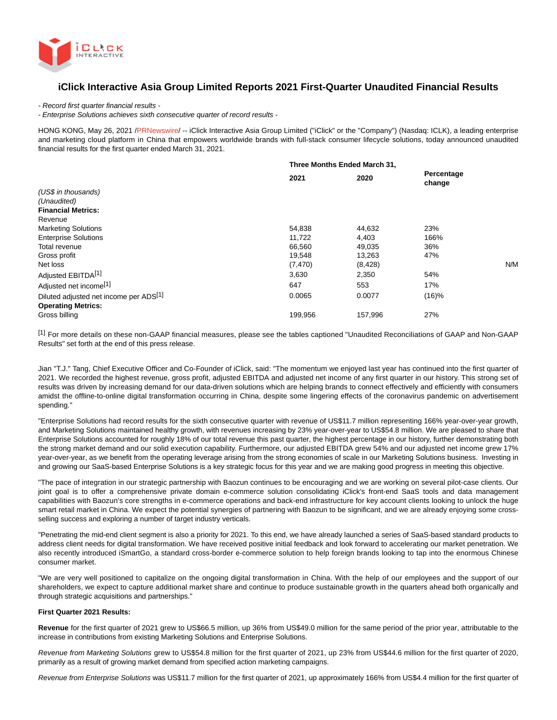

# **iClick Interactive Asia Group Limited Reports 2021 First-Quarter Unaudited Financial Results**

- Record first quarter financial results -

- Enterprise Solutions achieves sixth consecutive quarter of record results -

HONG KONG, May 26, 2021 [/PRNewswire/](http://www.prnewswire.com/) -- iClick Interactive Asia Group Limited ("iClick" or the "Company") (Nasdaq: ICLK), a leading enterprise and marketing cloud platform in China that empowers worldwide brands with full-stack consumer lifecycle solutions, today announced unaudited financial results for the first quarter ended March 31, 2021.

|                                        | Three Months Ended March 31, |         |                      |  |
|----------------------------------------|------------------------------|---------|----------------------|--|
|                                        | 2021                         | 2020    | Percentage<br>change |  |
| (US\$ in thousands)                    |                              |         |                      |  |
| (Unaudited)                            |                              |         |                      |  |
| <b>Financial Metrics:</b>              |                              |         |                      |  |
| Revenue                                |                              |         |                      |  |
| <b>Marketing Solutions</b>             | 54,838                       | 44,632  | 23%                  |  |
| <b>Enterprise Solutions</b>            | 11,722                       | 4,403   | 166%                 |  |
| Total revenue                          | 66,560                       | 49,035  | 36%                  |  |
| Gross profit                           | 19,548                       | 13,263  | 47%                  |  |
| Net loss                               | (7, 470)                     | (8,428) | N/M                  |  |
| Adjusted EBITDA <sup>[1]</sup>         | 3,630                        | 2,350   | 54%                  |  |
| Adjusted net income <sup>[1]</sup>     | 647                          | 553     | 17%                  |  |
| Diluted adjusted net income per ADS[1] | 0.0065                       | 0.0077  | (16)%                |  |
| <b>Operating Metrics:</b>              |                              |         |                      |  |
| Gross billing                          | 199,956                      | 157,996 | 27%                  |  |

[1] For more details on these non-GAAP financial measures, please see the tables captioned "Unaudited Reconciliations of GAAP and Non-GAAP Results" set forth at the end of this press release.

Jian "T.J." Tang, Chief Executive Officer and Co-Founder of iClick, said: "The momentum we enjoyed last year has continued into the first quarter of 2021. We recorded the highest revenue, gross profit, adjusted EBITDA and adjusted net income of any first quarter in our history. This strong set of results was driven by increasing demand for our data-driven solutions which are helping brands to connect effectively and efficiently with consumers amidst the offline-to-online digital transformation occurring in China, despite some lingering effects of the coronavirus pandemic on advertisement spending."

"Enterprise Solutions had record results for the sixth consecutive quarter with revenue of US\$11.7 million representing 166% year-over-year growth, and Marketing Solutions maintained healthy growth, with revenues increasing by 23% year-over-year to US\$54.8 million. We are pleased to share that Enterprise Solutions accounted for roughly 18% of our total revenue this past quarter, the highest percentage in our history, further demonstrating both the strong market demand and our solid execution capability. Furthermore, our adjusted EBITDA grew 54% and our adjusted net income grew 17% year-over-year, as we benefit from the operating leverage arising from the strong economies of scale in our Marketing Solutions business. Investing in and growing our SaaS-based Enterprise Solutions is a key strategic focus for this year and we are making good progress in meeting this objective.

"The pace of integration in our strategic partnership with Baozun continues to be encouraging and we are working on several pilot-case clients. Our joint goal is to offer a comprehensive private domain e-commerce solution consolidating iClick's front-end SaaS tools and data management capabilities with Baozun's core strengths in e-commerce operations and back-end infrastructure for key account clients looking to unlock the huge smart retail market in China. We expect the potential synergies of partnering with Baozun to be significant, and we are already enjoying some crossselling success and exploring a number of target industry verticals.

"Penetrating the mid-end client segment is also a priority for 2021. To this end, we have already launched a series of SaaS-based standard products to address client needs for digital transformation. We have received positive initial feedback and look forward to accelerating our market penetration. We also recently introduced iSmartGo, a standard cross-border e-commerce solution to help foreign brands looking to tap into the enormous Chinese consumer market.

"We are very well positioned to capitalize on the ongoing digital transformation in China. With the help of our employees and the support of our shareholders, we expect to capture additional market share and continue to produce sustainable growth in the quarters ahead both organically and through strategic acquisitions and partnerships."

#### **First Quarter 2021 Results:**

**Revenue** for the first quarter of 2021 grew to US\$66.5 million, up 36% from US\$49.0 million for the same period of the prior year, attributable to the increase in contributions from existing Marketing Solutions and Enterprise Solutions.

Revenue from Marketing Solutions grew to US\$54.8 million for the first quarter of 2021, up 23% from US\$44.6 million for the first quarter of 2020, primarily as a result of growing market demand from specified action marketing campaigns.

Revenue from Enterprise Solutions was US\$11.7 million for the first quarter of 2021, up approximately 166% from US\$4.4 million for the first quarter of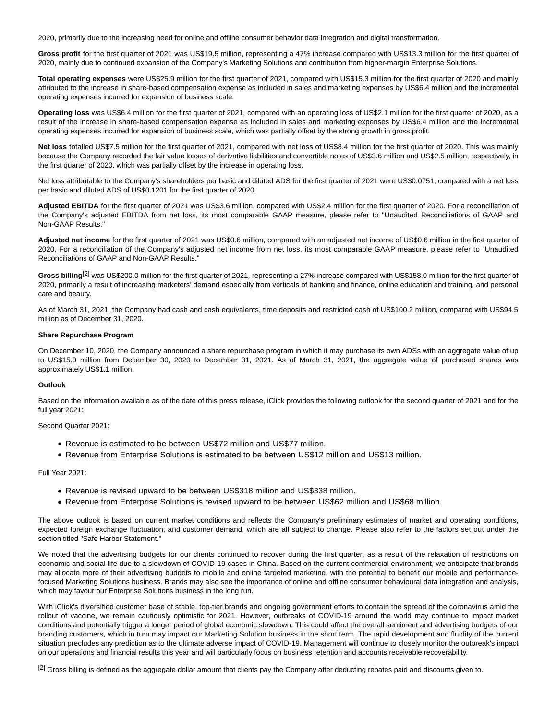2020, primarily due to the increasing need for online and offline consumer behavior data integration and digital transformation.

**Gross profit** for the first quarter of 2021 was US\$19.5 million, representing a 47% increase compared with US\$13.3 million for the first quarter of 2020, mainly due to continued expansion of the Company's Marketing Solutions and contribution from higher-margin Enterprise Solutions.

**Total operating expenses** were US\$25.9 million for the first quarter of 2021, compared with US\$15.3 million for the first quarter of 2020 and mainly attributed to the increase in share-based compensation expense as included in sales and marketing expenses by US\$6.4 million and the incremental operating expenses incurred for expansion of business scale.

**Operating loss** was US\$6.4 million for the first quarter of 2021, compared with an operating loss of US\$2.1 million for the first quarter of 2020, as a result of the increase in share-based compensation expense as included in sales and marketing expenses by US\$6.4 million and the incremental operating expenses incurred for expansion of business scale, which was partially offset by the strong growth in gross profit.

**Net loss** totalled US\$7.5 million for the first quarter of 2021, compared with net loss of US\$8.4 million for the first quarter of 2020. This was mainly because the Company recorded the fair value losses of derivative liabilities and convertible notes of US\$3.6 million and US\$2.5 million, respectively, in the first quarter of 2020, which was partially offset by the increase in operating loss.

Net loss attributable to the Company's shareholders per basic and diluted ADS for the first quarter of 2021 were US\$0.0751, compared with a net loss per basic and diluted ADS of US\$0.1201 for the first quarter of 2020.

**Adjusted EBITDA** for the first quarter of 2021 was US\$3.6 million, compared with US\$2.4 million for the first quarter of 2020. For a reconciliation of the Company's adjusted EBITDA from net loss, its most comparable GAAP measure, please refer to "Unaudited Reconciliations of GAAP and Non-GAAP Results."

**Adjusted net income** for the first quarter of 2021 was US\$0.6 million, compared with an adjusted net income of US\$0.6 million in the first quarter of 2020. For a reconciliation of the Company's adjusted net income from net loss, its most comparable GAAP measure, please refer to "Unaudited Reconciliations of GAAP and Non-GAAP Results."

Gross billing<sup>[2]</sup> was US\$200.0 million for the first quarter of 2021, representing a 27% increase compared with US\$158.0 million for the first quarter of 2020, primarily a result of increasing marketers' demand especially from verticals of banking and finance, online education and training, and personal care and beauty.

As of March 31, 2021, the Company had cash and cash equivalents, time deposits and restricted cash of US\$100.2 million, compared with US\$94.5 million as of December 31, 2020.

#### **Share Repurchase Program**

On December 10, 2020, the Company announced a share repurchase program in which it may purchase its own ADSs with an aggregate value of up to US\$15.0 million from December 30, 2020 to December 31, 2021. As of March 31, 2021, the aggregate value of purchased shares was approximately US\$1.1 million.

#### **Outlook**

Based on the information available as of the date of this press release, iClick provides the following outlook for the second quarter of 2021 and for the full year 2021:

Second Quarter 2021:

- Revenue is estimated to be between US\$72 million and US\$77 million.
- Revenue from Enterprise Solutions is estimated to be between US\$12 million and US\$13 million.

Full Year 2021:

- Revenue is revised upward to be between US\$318 million and US\$338 million.
- Revenue from Enterprise Solutions is revised upward to be between US\$62 million and US\$68 million.

The above outlook is based on current market conditions and reflects the Company's preliminary estimates of market and operating conditions, expected foreign exchange fluctuation, and customer demand, which are all subject to change. Please also refer to the factors set out under the section titled "Safe Harbor Statement."

We noted that the advertising budgets for our clients continued to recover during the first quarter, as a result of the relaxation of restrictions on economic and social life due to a slowdown of COVID-19 cases in China. Based on the current commercial environment, we anticipate that brands may allocate more of their advertising budgets to mobile and online targeted marketing, with the potential to benefit our mobile and performancefocused Marketing Solutions business. Brands may also see the importance of online and offline consumer behavioural data integration and analysis, which may favour our Enterprise Solutions business in the long run.

With iClick's diversified customer base of stable, top-tier brands and ongoing government efforts to contain the spread of the coronavirus amid the rollout of vaccine, we remain cautiously optimistic for 2021. However, outbreaks of COVID-19 around the world may continue to impact market conditions and potentially trigger a longer period of global economic slowdown. This could affect the overall sentiment and advertising budgets of our branding customers, which in turn may impact our Marketing Solution business in the short term. The rapid development and fluidity of the current situation precludes any prediction as to the ultimate adverse impact of COVID-19. Management will continue to closely monitor the outbreak's impact on our operations and financial results this year and will particularly focus on business retention and accounts receivable recoverability.

<sup>[2]</sup> Gross billing is defined as the aggregate dollar amount that clients pay the Company after deducting rebates paid and discounts given to.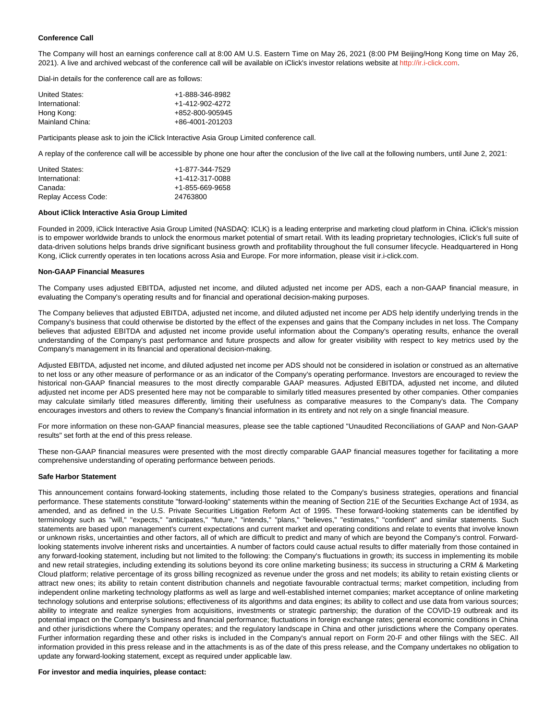### **Conference Call**

The Company will host an earnings conference call at 8:00 AM U.S. Eastern Time on May 26, 2021 (8:00 PM Beijing/Hong Kong time on May 26, 2021). A live and archived webcast of the conference call will be available on iClick's investor relations website at [http://ir.i-click.com.](http://ir.i-click.com/)

Dial-in details for the conference call are as follows:

| United States:  | +1-888-346-8982 |
|-----------------|-----------------|
| International:  | +1-412-902-4272 |
| Hong Kong:      | +852-800-905945 |
| Mainland China: | +86-4001-201203 |

Participants please ask to join the iClick Interactive Asia Group Limited conference call.

A replay of the conference call will be accessible by phone one hour after the conclusion of the live call at the following numbers, until June 2, 2021:

| United States:      | +1-877-344-7529 |
|---------------------|-----------------|
| International:      | +1-412-317-0088 |
| Canada:             | +1-855-669-9658 |
| Replay Access Code: | 24763800        |

#### **About iClick Interactive Asia Group Limited**

Founded in 2009, iClick Interactive Asia Group Limited (NASDAQ: ICLK) is a leading enterprise and marketing cloud platform in China. iClick's mission is to empower worldwide brands to unlock the enormous market potential of smart retail. With its leading proprietary technologies, iClick's full suite of data-driven solutions helps brands drive significant business growth and profitability throughout the full consumer lifecycle. Headquartered in Hong Kong, iClick currently operates in ten locations across Asia and Europe. For more information, please visit ir.i-click.com.

#### **Non-GAAP Financial Measures**

The Company uses adjusted EBITDA, adjusted net income, and diluted adjusted net income per ADS, each a non-GAAP financial measure, in evaluating the Company's operating results and for financial and operational decision-making purposes.

The Company believes that adjusted EBITDA, adjusted net income, and diluted adjusted net income per ADS help identify underlying trends in the Company's business that could otherwise be distorted by the effect of the expenses and gains that the Company includes in net loss. The Company believes that adjusted EBITDA and adjusted net income provide useful information about the Company's operating results, enhance the overall understanding of the Company's past performance and future prospects and allow for greater visibility with respect to key metrics used by the Company's management in its financial and operational decision-making.

Adjusted EBITDA, adjusted net income, and diluted adjusted net income per ADS should not be considered in isolation or construed as an alternative to net loss or any other measure of performance or as an indicator of the Company's operating performance. Investors are encouraged to review the historical non-GAAP financial measures to the most directly comparable GAAP measures. Adjusted EBITDA, adjusted net income, and diluted adjusted net income per ADS presented here may not be comparable to similarly titled measures presented by other companies. Other companies may calculate similarly titled measures differently, limiting their usefulness as comparative measures to the Company's data. The Company encourages investors and others to review the Company's financial information in its entirety and not rely on a single financial measure.

For more information on these non-GAAP financial measures, please see the table captioned "Unaudited Reconciliations of GAAP and Non-GAAP results" set forth at the end of this press release.

These non-GAAP financial measures were presented with the most directly comparable GAAP financial measures together for facilitating a more comprehensive understanding of operating performance between periods.

#### **Safe Harbor Statement**

This announcement contains forward-looking statements, including those related to the Company's business strategies, operations and financial performance. These statements constitute "forward-looking" statements within the meaning of Section 21E of the Securities Exchange Act of 1934, as amended, and as defined in the U.S. Private Securities Litigation Reform Act of 1995. These forward-looking statements can be identified by terminology such as "will," "expects," "anticipates," "future," "intends," "plans," "believes," "estimates," "confident" and similar statements. Such statements are based upon management's current expectations and current market and operating conditions and relate to events that involve known or unknown risks, uncertainties and other factors, all of which are difficult to predict and many of which are beyond the Company's control. Forwardlooking statements involve inherent risks and uncertainties. A number of factors could cause actual results to differ materially from those contained in any forward-looking statement, including but not limited to the following: the Company's fluctuations in growth; its success in implementing its mobile and new retail strategies, including extending its solutions beyond its core online marketing business; its success in structuring a CRM & Marketing Cloud platform; relative percentage of its gross billing recognized as revenue under the gross and net models; its ability to retain existing clients or attract new ones; its ability to retain content distribution channels and negotiate favourable contractual terms; market competition, including from independent online marketing technology platforms as well as large and well-established internet companies; market acceptance of online marketing technology solutions and enterprise solutions; effectiveness of its algorithms and data engines; its ability to collect and use data from various sources; ability to integrate and realize synergies from acquisitions, investments or strategic partnership; the duration of the COVID-19 outbreak and its potential impact on the Company's business and financial performance; fluctuations in foreign exchange rates; general economic conditions in China and other jurisdictions where the Company operates; and the regulatory landscape in China and other jurisdictions where the Company operates. Further information regarding these and other risks is included in the Company's annual report on Form 20-F and other filings with the SEC. All information provided in this press release and in the attachments is as of the date of this press release, and the Company undertakes no obligation to update any forward-looking statement, except as required under applicable law.

#### **For investor and media inquiries, please contact:**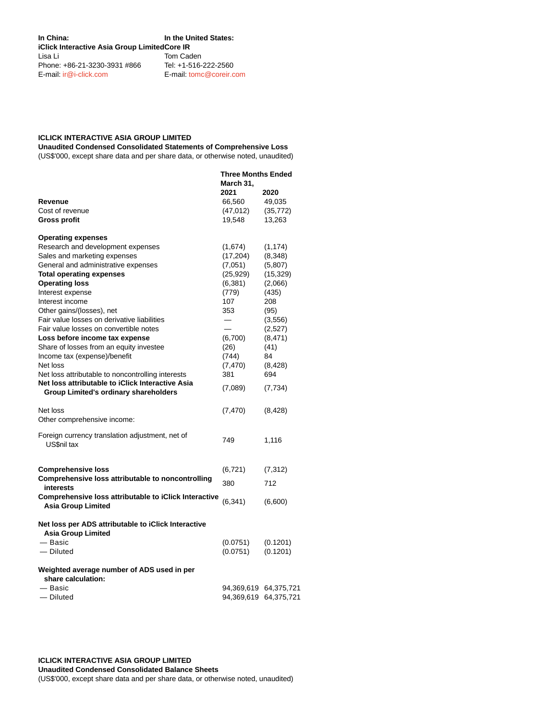| In China:<br><b>iClick Interactive Asia Group LimitedCore IR</b> | In the United States:             |  |
|------------------------------------------------------------------|-----------------------------------|--|
| Lisa Li<br>Phone: +86-21-3230-3931 #866                          | Tom Caden<br>Tel: +1-516-222-2560 |  |
| $E$ -mail: $ir@i$ -click.com                                     | E-mail: tomc@coreir.com           |  |

## **ICLICK INTERACTIVE ASIA GROUP LIMITED**

**Unaudited Condensed Consolidated Statements of Comprehensive Loss**

(US\$'000, except share data and per share data, or otherwise noted, unaudited)

|                                                                                                  | <b>Three Months Ended</b><br>March 31, |           |
|--------------------------------------------------------------------------------------------------|----------------------------------------|-----------|
|                                                                                                  | 2021                                   | 2020      |
| Revenue                                                                                          | 66,560                                 | 49,035    |
| Cost of revenue                                                                                  | (47, 012)                              | (35, 772) |
| <b>Gross profit</b>                                                                              | 19,548                                 | 13,263    |
| <b>Operating expenses</b>                                                                        |                                        |           |
| Research and development expenses                                                                | (1,674)                                | (1, 174)  |
| Sales and marketing expenses                                                                     | (17, 204)                              | (8,348)   |
| General and administrative expenses                                                              | (7,051)                                | (5,807)   |
| <b>Total operating expenses</b>                                                                  | (25, 929)                              | (15, 329) |
| <b>Operating loss</b>                                                                            | (6,381)                                | (2,066)   |
| Interest expense                                                                                 | (779)                                  | (435)     |
| Interest income                                                                                  | 107                                    | 208       |
| Other gains/(losses), net                                                                        | 353                                    | (95)      |
| Fair value losses on derivative liabilities                                                      |                                        | (3,556)   |
| Fair value losses on convertible notes                                                           | $\overline{\phantom{0}}$               | (2,527)   |
| Loss before income tax expense                                                                   | (6,700)                                | (8, 471)  |
| Share of losses from an equity investee                                                          | (26)                                   | (41)      |
| Income tax (expense)/benefit                                                                     | (744)                                  | 84        |
| Net loss                                                                                         | (7, 470)                               | (8,428)   |
| Net loss attributable to noncontrolling interests                                                | 381                                    | 694       |
| Net loss attributable to iClick Interactive Asia<br><b>Group Limited's ordinary shareholders</b> | (7,089)                                | (7, 734)  |
| Net loss                                                                                         | (7, 470)                               | (8, 428)  |
| Other comprehensive income:                                                                      |                                        |           |
| Foreign currency translation adjustment, net of<br>US\$nil tax                                   | 749                                    | 1,116     |
| <b>Comprehensive loss</b>                                                                        | (6, 721)                               | (7, 312)  |
| Comprehensive loss attributable to noncontrolling                                                |                                        |           |
| interests                                                                                        | 380                                    | 712       |
| <b>Comprehensive loss attributable to iClick Interactive</b><br><b>Asia Group Limited</b>        | (6, 341)                               | (6,600)   |
| Net loss per ADS attributable to iClick Interactive<br><b>Asia Group Limited</b>                 |                                        |           |
| - Basic                                                                                          | (0.0751)                               | (0.1201)  |
| - Diluted                                                                                        | (0.0751)                               | (0.1201)  |
| Weighted average number of ADS used in per<br>share calculation:                                 |                                        |           |
| — Basic                                                                                          | 94,369,619 64,375,721                  |           |
| – Diluted                                                                                        | 94,369,619 64,375,721                  |           |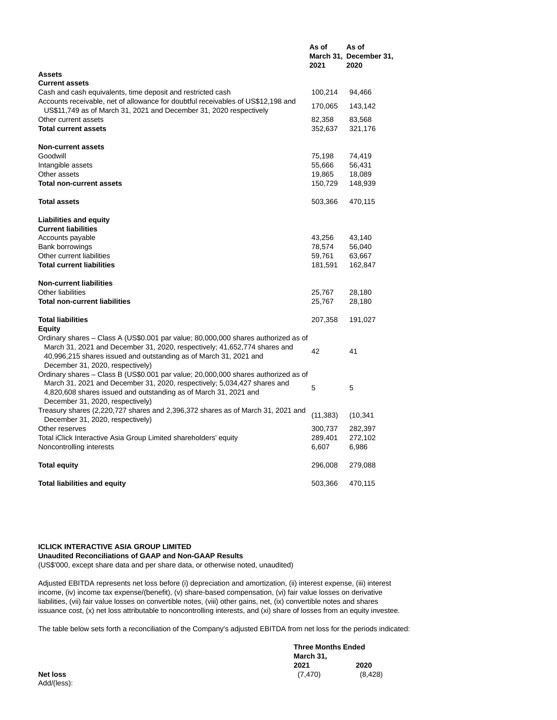|                                                                                                                                                        | As of<br>2021 | As of<br>March 31, December 31,<br>2020 |
|--------------------------------------------------------------------------------------------------------------------------------------------------------|---------------|-----------------------------------------|
| <b>Assets</b>                                                                                                                                          |               |                                         |
| <b>Current assets</b>                                                                                                                                  |               |                                         |
| Cash and cash equivalents, time deposit and restricted cash                                                                                            | 100,214       | 94,466                                  |
| Accounts receivable, net of allowance for doubtful receivables of US\$12,198 and<br>US\$11,749 as of March 31, 2021 and December 31, 2020 respectively | 170,065       | 143,142                                 |
| Other current assets                                                                                                                                   | 82,358        | 83,568                                  |
| <b>Total current assets</b>                                                                                                                            | 352,637       | 321,176                                 |
| <b>Non-current assets</b>                                                                                                                              |               |                                         |
| Goodwill                                                                                                                                               | 75,198        | 74,419                                  |
| Intangible assets                                                                                                                                      | 55,666        | 56,431                                  |
| Other assets                                                                                                                                           | 19,865        | 18,089                                  |
| <b>Total non-current assets</b>                                                                                                                        | 150,729       | 148,939                                 |
| <b>Total assets</b>                                                                                                                                    | 503,366       | 470,115                                 |
| <b>Liabilities and equity</b>                                                                                                                          |               |                                         |
| <b>Current liabilities</b>                                                                                                                             |               |                                         |
| Accounts payable                                                                                                                                       | 43,256        | 43,140                                  |
| Bank borrowings                                                                                                                                        | 78,574        | 56,040                                  |
| Other current liabilities                                                                                                                              | 59,761        | 63,667                                  |
| <b>Total current liabilities</b>                                                                                                                       | 181,591       | 162,847                                 |
| <b>Non-current liabilities</b>                                                                                                                         |               |                                         |
| <b>Other liabilities</b>                                                                                                                               | 25,767        | 28,180                                  |
| <b>Total non-current liabilities</b>                                                                                                                   | 25,767        | 28,180                                  |
| <b>Total liabilities</b>                                                                                                                               | 207,358       | 191,027                                 |
| Equity<br>Ordinary shares – Class A (US\$0.001 par value; 80,000,000 shares authorized as of                                                           |               |                                         |
| March 31, 2021 and December 31, 2020, respectively; 41,652,774 shares and                                                                              | 42            | 41                                      |
| 40,996,215 shares issued and outstanding as of March 31, 2021 and<br>December 31, 2020, respectively)                                                  |               |                                         |
| Ordinary shares – Class B (US\$0.001 par value; 20,000,000 shares authorized as of                                                                     |               |                                         |
| March 31, 2021 and December 31, 2020, respectively; 5,034,427 shares and                                                                               |               |                                         |
| 4,820,608 shares issued and outstanding as of March 31, 2021 and                                                                                       | 5             | 5                                       |
| December 31, 2020, respectively)                                                                                                                       |               |                                         |
| Treasury shares (2,220,727 shares and 2,396,372 shares as of March 31, 2021 and                                                                        | (11, 383)     | (10, 341)                               |
| December 31, 2020, respectively)                                                                                                                       |               |                                         |
| Other reserves                                                                                                                                         | 300,737       | 282,397                                 |
| Total iClick Interactive Asia Group Limited shareholders' equity                                                                                       | 289,401       | 272,102                                 |
| Noncontrolling interests                                                                                                                               | 6,607         | 6,986                                   |
| <b>Total equity</b>                                                                                                                                    | 296,008       | 279,088                                 |
| <b>Total liabilities and equity</b>                                                                                                                    | 503,366       | 470,115                                 |
|                                                                                                                                                        |               |                                         |

## **ICLICK INTERACTIVE ASIA GROUP LIMITED**

**Unaudited Reconciliations of GAAP and Non-GAAP Results** (US\$'000, except share data and per share data, or otherwise noted, unaudited)

Adjusted EBITDA represents net loss before (i) depreciation and amortization, (ii) interest expense, (iii) interest income, (iv) income tax expense/(benefit), (v) share-based compensation, (vi) fair value losses on derivative liabilities, (vii) fair value losses on convertible notes, (viii) other gains, net, (ix) convertible notes and shares issuance cost, (x) net loss attributable to noncontrolling interests, and (xi) share of losses from an equity investee.

The table below sets forth a reconciliation of the Company's adjusted EBITDA from net loss for the periods indicated:

|                 |           | <b>Three Months Ended</b> |  |
|-----------------|-----------|---------------------------|--|
|                 | March 31, |                           |  |
|                 | 2021      | 2020                      |  |
| <b>Net loss</b> | (7.470)   | (8, 428)                  |  |
| Add/(less):     |           |                           |  |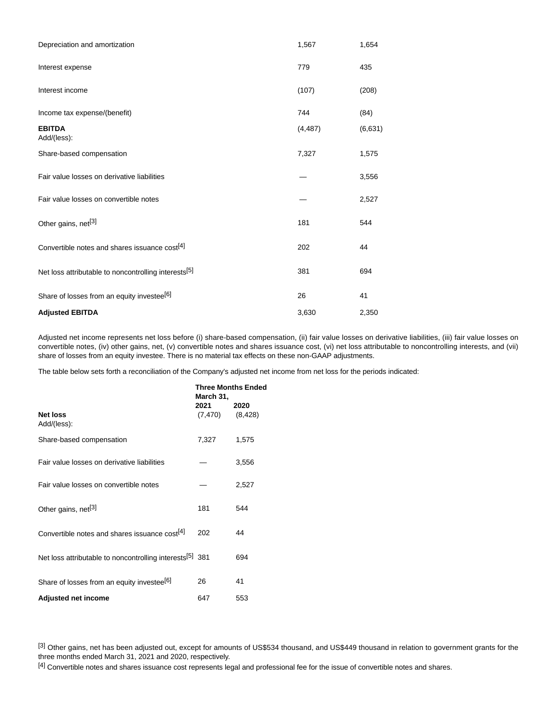| Depreciation and amortization                             | 1,567    | 1,654    |
|-----------------------------------------------------------|----------|----------|
| Interest expense                                          | 779      | 435      |
| Interest income                                           | (107)    | (208)    |
| Income tax expense/(benefit)                              | 744      | (84)     |
| <b>EBITDA</b><br>Add/(less):                              | (4, 487) | (6, 631) |
| Share-based compensation                                  | 7,327    | 1,575    |
| Fair value losses on derivative liabilities               |          | 3,556    |
| Fair value losses on convertible notes                    |          | 2,527    |
| Other gains, net <sup>[3]</sup>                           | 181      | 544      |
| Convertible notes and shares issuance cost <sup>[4]</sup> | 202      | 44       |
| Net loss attributable to noncontrolling interests[5]      | 381      | 694      |
| Share of losses from an equity investee <sup>[6]</sup>    | 26       | 41       |
| <b>Adjusted EBITDA</b>                                    | 3,630    | 2,350    |

Adjusted net income represents net loss before (i) share-based compensation, (ii) fair value losses on derivative liabilities, (iii) fair value losses on convertible notes, (iv) other gains, net, (v) convertible notes and shares issuance cost, (vi) net loss attributable to noncontrolling interests, and (vii) share of losses from an equity investee. There is no material tax effects on these non-GAAP adjustments.

The table below sets forth a reconciliation of the Company's adjusted net income from net loss for the periods indicated:

|                                                                      | <b>Three Months Ended</b><br>March 31, |                  |
|----------------------------------------------------------------------|----------------------------------------|------------------|
| Net loss<br>Add/(less):                                              | 2021<br>(7, 470)                       | 2020<br>(8, 428) |
| Share-based compensation                                             | 7,327                                  | 1,575            |
| Fair value losses on derivative liabilities                          |                                        | 3,556            |
| Fair value losses on convertible notes                               |                                        | 2,527            |
| Other gains, net <sup>[3]</sup>                                      | 181                                    | 544              |
| Convertible notes and shares issuance cost <sup>[4]</sup>            | 202                                    | 44               |
| Net loss attributable to noncontrolling interests <sup>[5]</sup> 381 |                                        | 694              |
| Share of losses from an equity investee <sup>[6]</sup>               | 26                                     | 41               |
| <b>Adjusted net income</b>                                           | 647                                    | 553              |

[3] Other gains, net has been adjusted out, except for amounts of US\$534 thousand, and US\$449 thousand in relation to government grants for the three months ended March 31, 2021 and 2020, respectively.

<sup>[4]</sup> Convertible notes and shares issuance cost represents legal and professional fee for the issue of convertible notes and shares.